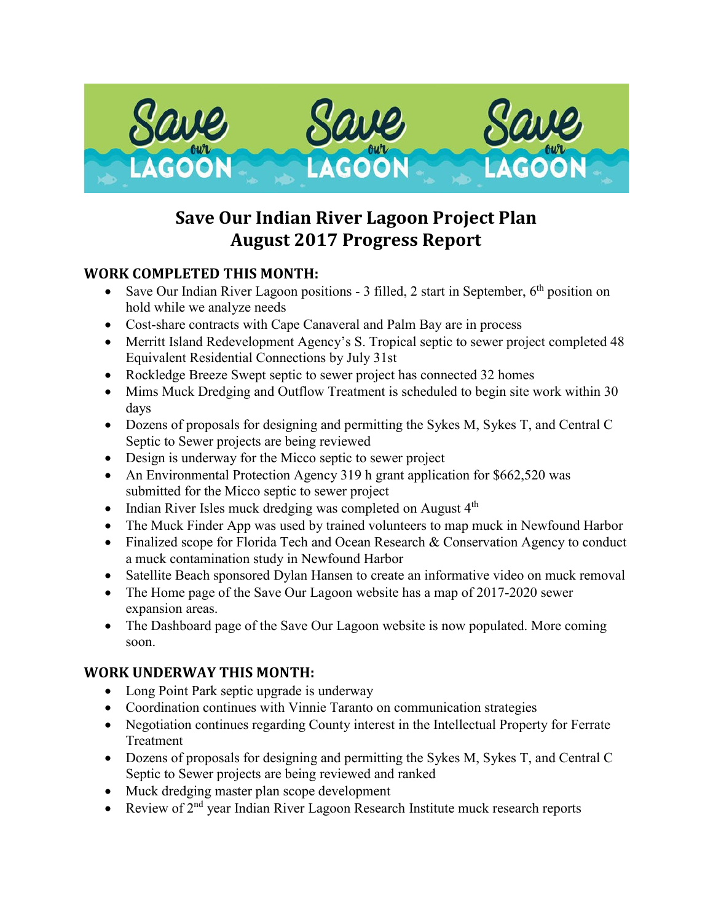

# **Save Our Indian River Lagoon Project Plan August 2017 Progress Report**

# **WORK COMPLETED THIS MONTH:**

- Save Our Indian River Lagoon positions 3 filled, 2 start in September,  $6<sup>th</sup>$  position on hold while we analyze needs
- Cost-share contracts with Cape Canaveral and Palm Bay are in process
- Merritt Island Redevelopment Agency's S. Tropical septic to sewer project completed 48 Equivalent Residential Connections by July 31st
- Rockledge Breeze Swept septic to sewer project has connected 32 homes
- Mims Muck Dredging and Outflow Treatment is scheduled to begin site work within 30 days
- Dozens of proposals for designing and permitting the Sykes M, Sykes T, and Central C Septic to Sewer projects are being reviewed
- Design is underway for the Micco septic to sewer project
- An Environmental Protection Agency 319 h grant application for \$662,520 was submitted for the Micco septic to sewer project
- Indian River Isles muck dredging was completed on August 4<sup>th</sup>
- The Muck Finder App was used by trained volunteers to map muck in Newfound Harbor
- Finalized scope for Florida Tech and Ocean Research & Conservation Agency to conduct a muck contamination study in Newfound Harbor
- Satellite Beach sponsored Dylan Hansen to create an informative video on muck removal
- The Home page of the Save Our Lagoon website has a map of 2017-2020 sewer expansion areas.
- The Dashboard page of the Save Our Lagoon website is now populated. More coming soon.

# **WORK UNDERWAY THIS MONTH:**

- Long Point Park septic upgrade is underway
- Coordination continues with Vinnie Taranto on communication strategies
- Negotiation continues regarding County interest in the Intellectual Property for Ferrate Treatment
- Dozens of proposals for designing and permitting the Sykes M, Sykes T, and Central C Septic to Sewer projects are being reviewed and ranked
- Muck dredging master plan scope development
- Review of  $2<sup>nd</sup>$  year Indian River Lagoon Research Institute muck research reports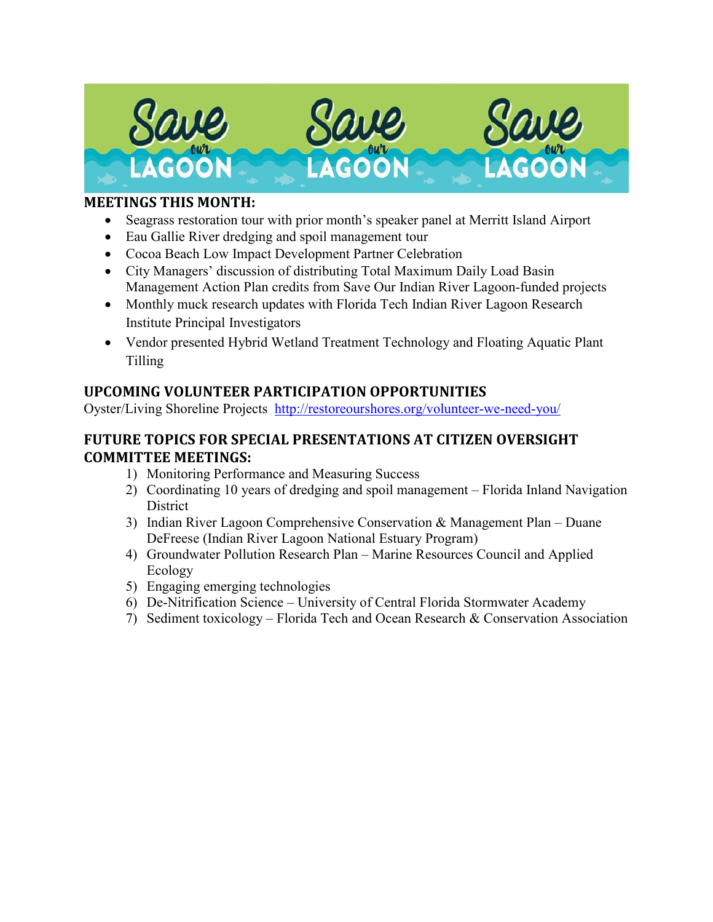

## **MEETINGS THIS MONTH:**

- Seagrass restoration tour with prior month's speaker panel at Merritt Island Airport
- Eau Gallie River dredging and spoil management tour
- Cocoa Beach Low Impact Development Partner Celebration
- City Managers' discussion of distributing Total Maximum Daily Load Basin Management Action Plan credits from Save Our Indian River Lagoon-funded projects
- Monthly muck research updates with Florida Tech Indian River Lagoon Research Institute Principal Investigators
- Vendor presented Hybrid Wetland Treatment Technology and Floating Aquatic Plant Tilling

# **UPCOMING VOLUNTEER PARTICIPATION OPPORTUNITIES**

Oyster/Living Shoreline Projects <http://restoreourshores.org/volunteer-we-need-you/>

## **FUTURE TOPICS FOR SPECIAL PRESENTATIONS AT CITIZEN OVERSIGHT COMMITTEE MEETINGS:**

- 1) Monitoring Performance and Measuring Success
- 2) Coordinating 10 years of dredging and spoil management Florida Inland Navigation **District**
- 3) Indian River Lagoon Comprehensive Conservation & Management Plan Duane DeFreese (Indian River Lagoon National Estuary Program)
- 4) Groundwater Pollution Research Plan Marine Resources Council and Applied Ecology
- 5) Engaging emerging technologies
- 6) De-Nitrification Science University of Central Florida Stormwater Academy
- 7) Sediment toxicology Florida Tech and Ocean Research & Conservation Association